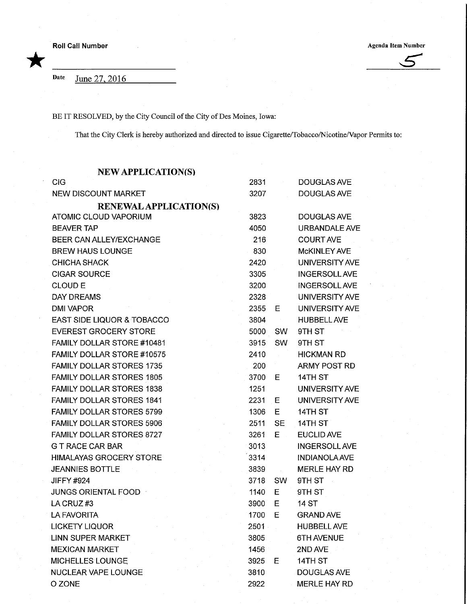Roll Call Number<br>
Agenda Item Number<br>
Agenda Item Number

\*

Date June 27, 2016

BE IT RESOLVED, by the City Council of the City of Des Moines, Iowa:

That the City Clerk is hereby authorized and directed to issue Cigarette/Tobacco/Nicotine/Vapor Permits to:

| <b>NEW APPLICATION(S)</b>         |      |           |                       |
|-----------------------------------|------|-----------|-----------------------|
| <b>CIG</b>                        | 2831 |           | <b>DOUGLAS AVE</b>    |
| NEW DISCOUNT MARKET               | 3207 |           | <b>DOUGLAS AVE</b>    |
| <b>RENEWAL APPLICATION(S)</b>     |      |           |                       |
| <b>ATOMIC CLOUD VAPORIUM</b>      | 3823 |           | DOUGLAS AVE           |
| <b>BEAVER TAP</b>                 | 4050 |           | URBANDALE AVE         |
| BEER CAN ALLEY/EXCHANGE           | 216  |           | <b>COURT AVE</b>      |
| <b>BREW HAUS LOUNGE</b>           | 830  |           | <b>McKINLEY AVE</b>   |
| <b>CHICHA SHACK</b>               | 2420 |           | <b>UNIVERSITY AVE</b> |
| <b>CIGAR SOURCE</b>               | 3305 |           | <b>INGERSOLL AVE</b>  |
| <b>CLOUD E</b>                    | 3200 |           | <b>INGERSOLL AVE</b>  |
| <b>DAY DREAMS</b>                 | 2328 |           | <b>UNIVERSITY AVE</b> |
| <b>DMI VAPOR</b>                  | 2355 | E.        | UNIVERSITY AVE        |
| EAST SIDE LIQUOR & TOBACCO        | 3804 |           | <b>HUBBELL AVE</b>    |
| <b>EVEREST GROCERY STORE</b>      | 5000 | <b>SW</b> | 9TH ST                |
| FAMILY DOLLAR STORE #10481        | 3915 | <b>SW</b> | 9TH ST                |
| <b>FAMILY DOLLAR STORE #10575</b> | 2410 |           | <b>HICKMAN RD</b>     |
| <b>FAMILY DOLLAR STORES 1735</b>  | 200  |           | <b>ARMY POST RD</b>   |
| <b>FAMILY DOLLAR STORES 1805</b>  | 3700 | E.        | 14TH ST               |
| <b>FAMILY DOLLAR STORES 1838</b>  | 1251 |           | UNIVERSITY AVE        |
| <b>FAMILY DOLLAR STORES 1841</b>  | 2231 | Е         | UNIVERSITY AVE        |
| <b>FAMILY DOLLAR STORES 5799</b>  | 1306 | E         | 14TH ST               |
| <b>FAMILY DOLLAR STORES 5906</b>  | 2511 | <b>SE</b> | 14TH ST               |
| <b>FAMILY DOLLAR STORES 8727</b>  | 3261 | Е         | <b>EUCLID AVE</b>     |
| <b>G T RACE CAR BAR</b>           | 3013 |           | <b>INGERSOLL AVE</b>  |
| <b>HIMALAYAS GROCERY STORE</b>    | 3314 |           | <b>INDIANOLA AVE</b>  |
| <b>JEANNIES BOTTLE</b>            | 3839 |           | <b>MERLE HAY RD</b>   |
| <b>JIFFY #924</b>                 | 3718 | <b>SW</b> | 9TH ST                |
| JUNGS ORIENTAL FOOD               | 1140 | Е         | 9TH ST                |
| LA CRUZ#3                         | 3900 | Е         | 14 ST                 |
| <b>LA FAVORITA</b>                | 1700 | Ε         | <b>GRAND AVE</b>      |
| <b>LICKETY LIQUOR</b>             | 2501 |           | <b>HUBBELL AVE</b>    |
| <b>LINN SUPER MARKET</b>          | 3805 |           | <b>6TH AVENUE</b>     |
| <b>MEXICAN MARKET</b>             | 1456 |           | 2ND AVE<br>To a       |
| MICHELLES LOUNGE                  | 3925 | Е         | 14TH ST               |
| NUCLEAR VAPE LOUNGE               | 3810 |           | DOUGLAS AVE           |
| O ZONE                            | 2922 |           | <b>MERLE HAY RD</b>   |